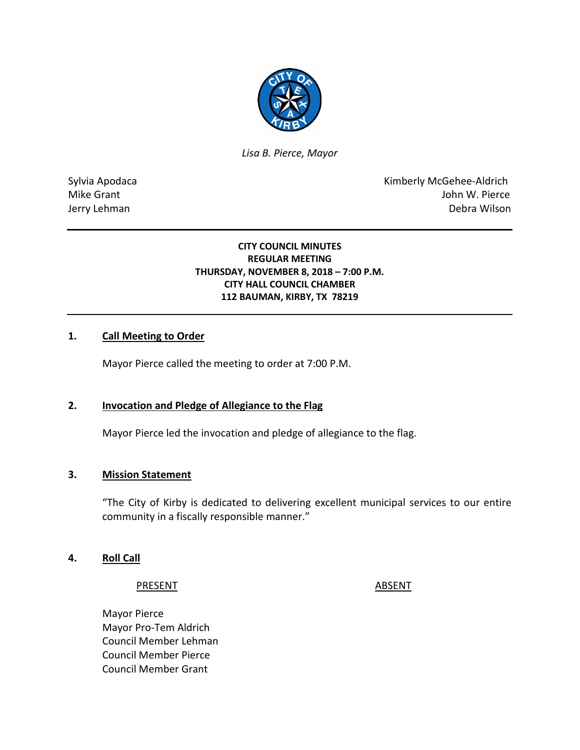

*Lisa B. Pierce, Mayor* 

Sylvia Apodaca **Kimberly McGehee-Aldrich** Mike Grant **Mike Grant** John W. Pierce Jerry Lehman Debra Wilson

### **CITY COUNCIL MINUTES REGULAR MEETING THURSDAY, NOVEMBER 8, 2018 – 7:00 P.M. CITY HALL COUNCIL CHAMBER 112 BAUMAN, KIRBY, TX 78219**

#### **1. Call Meeting to Order**

Mayor Pierce called the meeting to order at 7:00 P.M.

#### **2. Invocation and Pledge of Allegiance to the Flag**

Mayor Pierce led the invocation and pledge of allegiance to the flag.

#### **3. Mission Statement**

"The City of Kirby is dedicated to delivering excellent municipal services to our entire community in a fiscally responsible manner."

#### **4. Roll Call**

#### PRESENT ABSENT

Mayor Pierce Mayor Pro-Tem Aldrich Council Member Lehman Council Member Pierce Council Member Grant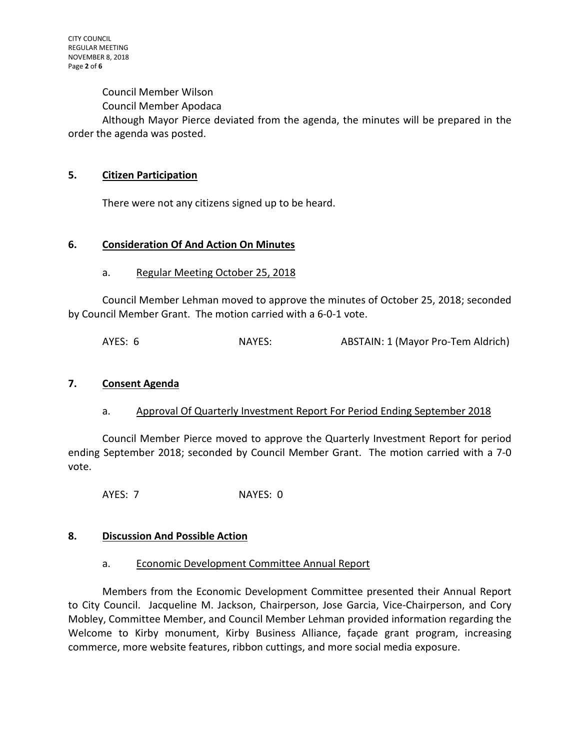Council Member Wilson

Council Member Apodaca

Although Mayor Pierce deviated from the agenda, the minutes will be prepared in the order the agenda was posted.

#### **5. Citizen Participation**

There were not any citizens signed up to be heard.

#### **6. Consideration Of And Action On Minutes**

a. Regular Meeting October 25, 2018

Council Member Lehman moved to approve the minutes of October 25, 2018; seconded by Council Member Grant. The motion carried with a 6-0-1 vote.

AYES: 6 NAYES: ABSTAIN: 1 (Mayor Pro-Tem Aldrich)

#### **7. Consent Agenda**

a. Approval Of Quarterly Investment Report For Period Ending September 2018

Council Member Pierce moved to approve the Quarterly Investment Report for period ending September 2018; seconded by Council Member Grant. The motion carried with a 7-0 vote.

AYES: 7 NAYES: 0

#### **8. Discussion And Possible Action**

#### a. Economic Development Committee Annual Report

Members from the Economic Development Committee presented their Annual Report to City Council. Jacqueline M. Jackson, Chairperson, Jose Garcia, Vice-Chairperson, and Cory Mobley, Committee Member, and Council Member Lehman provided information regarding the Welcome to Kirby monument, Kirby Business Alliance, façade grant program, increasing commerce, more website features, ribbon cuttings, and more social media exposure.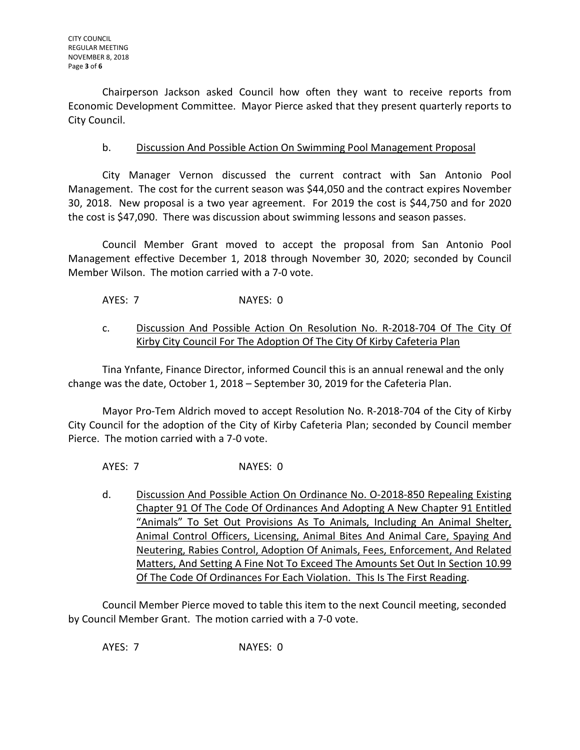Chairperson Jackson asked Council how often they want to receive reports from Economic Development Committee. Mayor Pierce asked that they present quarterly reports to City Council.

## b. Discussion And Possible Action On Swimming Pool Management Proposal

City Manager Vernon discussed the current contract with San Antonio Pool Management. The cost for the current season was \$44,050 and the contract expires November 30, 2018. New proposal is a two year agreement. For 2019 the cost is \$44,750 and for 2020 the cost is \$47,090. There was discussion about swimming lessons and season passes.

Council Member Grant moved to accept the proposal from San Antonio Pool Management effective December 1, 2018 through November 30, 2020; seconded by Council Member Wilson. The motion carried with a 7-0 vote.

AYES: 7 NAYES: 0

## c. Discussion And Possible Action On Resolution No. R-2018-704 Of The City Of Kirby City Council For The Adoption Of The City Of Kirby Cafeteria Plan

Tina Ynfante, Finance Director, informed Council this is an annual renewal and the only change was the date, October 1, 2018 – September 30, 2019 for the Cafeteria Plan.

Mayor Pro-Tem Aldrich moved to accept Resolution No. R-2018-704 of the City of Kirby City Council for the adoption of the City of Kirby Cafeteria Plan; seconded by Council member Pierce. The motion carried with a 7-0 vote.

AYES: 7 NAYES: 0

d. Discussion And Possible Action On Ordinance No. O-2018-850 Repealing Existing Chapter 91 Of The Code Of Ordinances And Adopting A New Chapter 91 Entitled "Animals" To Set Out Provisions As To Animals, Including An Animal Shelter, Animal Control Officers, Licensing, Animal Bites And Animal Care, Spaying And Neutering, Rabies Control, Adoption Of Animals, Fees, Enforcement, And Related Matters, And Setting A Fine Not To Exceed The Amounts Set Out In Section 10.99 Of The Code Of Ordinances For Each Violation. This Is The First Reading.

Council Member Pierce moved to table this item to the next Council meeting, seconded by Council Member Grant. The motion carried with a 7-0 vote.

AYES: 7 NAYES: 0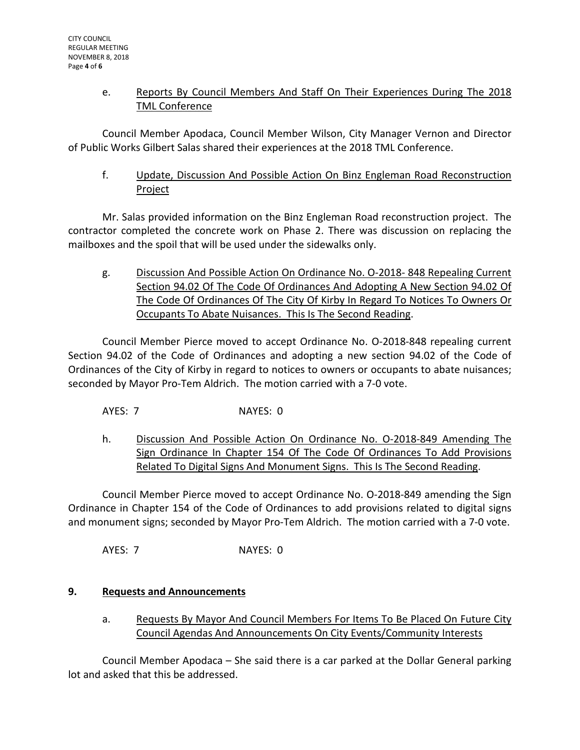## e. Reports By Council Members And Staff On Their Experiences During The 2018 TML Conference

Council Member Apodaca, Council Member Wilson, City Manager Vernon and Director of Public Works Gilbert Salas shared their experiences at the 2018 TML Conference.

f. Update, Discussion And Possible Action On Binz Engleman Road Reconstruction Project

Mr. Salas provided information on the Binz Engleman Road reconstruction project. The contractor completed the concrete work on Phase 2. There was discussion on replacing the mailboxes and the spoil that will be used under the sidewalks only.

g. Discussion And Possible Action On Ordinance No. O-2018- 848 Repealing Current Section 94.02 Of The Code Of Ordinances And Adopting A New Section 94.02 Of The Code Of Ordinances Of The City Of Kirby In Regard To Notices To Owners Or Occupants To Abate Nuisances. This Is The Second Reading.

Council Member Pierce moved to accept Ordinance No. O-2018-848 repealing current Section 94.02 of the Code of Ordinances and adopting a new section 94.02 of the Code of Ordinances of the City of Kirby in regard to notices to owners or occupants to abate nuisances; seconded by Mayor Pro-Tem Aldrich. The motion carried with a 7-0 vote.

- AYES: 7 NAYES: 0
- h. Discussion And Possible Action On Ordinance No. O-2018-849 Amending The Sign Ordinance In Chapter 154 Of The Code Of Ordinances To Add Provisions Related To Digital Signs And Monument Signs. This Is The Second Reading.

Council Member Pierce moved to accept Ordinance No. O-2018-849 amending the Sign Ordinance in Chapter 154 of the Code of Ordinances to add provisions related to digital signs and monument signs; seconded by Mayor Pro-Tem Aldrich. The motion carried with a 7-0 vote.

AYES: 7 NAYES: 0

# **9. Requests and Announcements**

a. Requests By Mayor And Council Members For Items To Be Placed On Future City Council Agendas And Announcements On City Events/Community Interests

Council Member Apodaca – She said there is a car parked at the Dollar General parking lot and asked that this be addressed.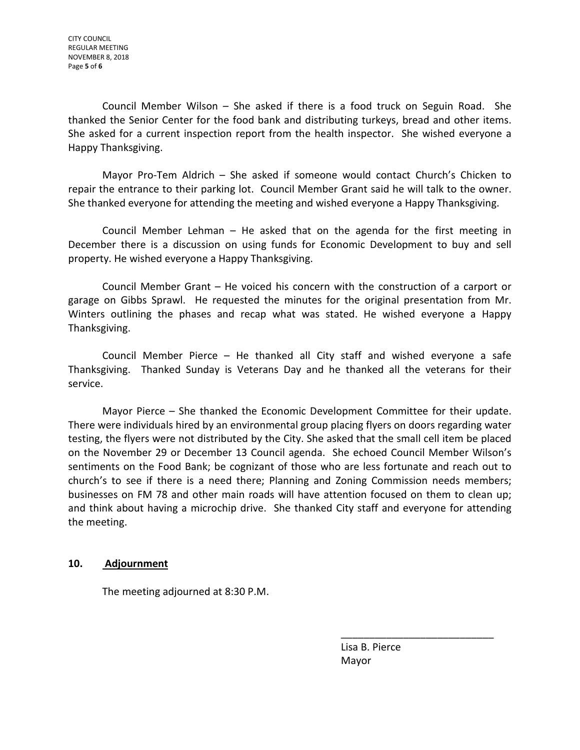Council Member Wilson – She asked if there is a food truck on Seguin Road. She thanked the Senior Center for the food bank and distributing turkeys, bread and other items. She asked for a current inspection report from the health inspector. She wished everyone a Happy Thanksgiving.

Mayor Pro-Tem Aldrich – She asked if someone would contact Church's Chicken to repair the entrance to their parking lot. Council Member Grant said he will talk to the owner. She thanked everyone for attending the meeting and wished everyone a Happy Thanksgiving.

Council Member Lehman – He asked that on the agenda for the first meeting in December there is a discussion on using funds for Economic Development to buy and sell property. He wished everyone a Happy Thanksgiving.

Council Member Grant – He voiced his concern with the construction of a carport or garage on Gibbs Sprawl. He requested the minutes for the original presentation from Mr. Winters outlining the phases and recap what was stated. He wished everyone a Happy Thanksgiving.

Council Member Pierce – He thanked all City staff and wished everyone a safe Thanksgiving. Thanked Sunday is Veterans Day and he thanked all the veterans for their service.

Mayor Pierce – She thanked the Economic Development Committee for their update. There were individuals hired by an environmental group placing flyers on doors regarding water testing, the flyers were not distributed by the City. She asked that the small cell item be placed on the November 29 or December 13 Council agenda. She echoed Council Member Wilson's sentiments on the Food Bank; be cognizant of those who are less fortunate and reach out to church's to see if there is a need there; Planning and Zoning Commission needs members; businesses on FM 78 and other main roads will have attention focused on them to clean up; and think about having a microchip drive. She thanked City staff and everyone for attending the meeting.

## **10. Adjournment**

The meeting adjourned at 8:30 P.M.

 Lisa B. Pierce Mayor

\_\_\_\_\_\_\_\_\_\_\_\_\_\_\_\_\_\_\_\_\_\_\_\_\_\_\_